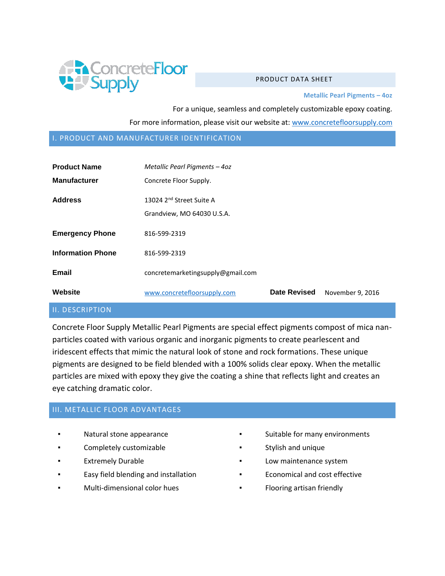

#### PRODUCT DATA SHEFT

**Metallic Pearl Pigments – 4oz**

For a unique, seamless and completely customizable epoxy coating. For more information, please visit our website at: [www.concretefloorsupply.com](http://www.concretefloorsupply.com/)

#### I. PRODUCT AND MANUFACTURER IDENTIFICATION

| <b>Product Name</b><br><b>Manufacturer</b> | Metallic Pearl Pigments - 4oz<br>Concrete Floor Supply.            |                     |                  |
|--------------------------------------------|--------------------------------------------------------------------|---------------------|------------------|
| <b>Address</b>                             | 13024 2 <sup>nd</sup> Street Suite A<br>Grandview, MO 64030 U.S.A. |                     |                  |
| <b>Emergency Phone</b>                     | 816-599-2319                                                       |                     |                  |
| <b>Information Phone</b>                   | 816-599-2319                                                       |                     |                  |
| Email                                      | concretemarketingsupply@gmail.com                                  |                     |                  |
| Website                                    | www.concretefloorsupply.com                                        | <b>Date Revised</b> | November 9, 2016 |

### II. DESCRIPTION

Concrete Floor Supply Metallic Pearl Pigments are special effect pigments compost of mica nanparticles coated with various organic and inorganic pigments to create pearlescent and iridescent effects that mimic the natural look of stone and rock formations. These unique pigments are designed to be field blended with a 100% solids clear epoxy. When the metallic particles are mixed with epoxy they give the coating a shine that reflects light and creates an eye catching dramatic color.

#### III. METALLIC FLOOR ADVANTAGES

- Natural stone appearance
- Completely customizable
- **Extremely Durable**
- Easy field blending and installation
- Multi-dimensional color hues
- Suitable for many environments
- Stylish and unique
- Low maintenance system
- Economical and cost effective
- Flooring artisan friendly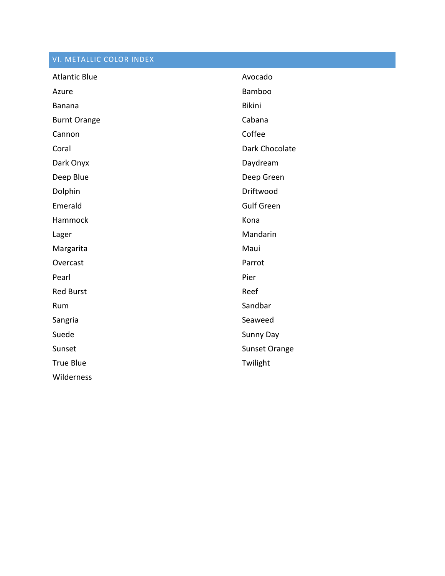# VI. METALLIC COLOR INDEX

| <b>Atlantic Blue</b> | Avocado           |
|----------------------|-------------------|
| Azure                | Bamboo            |
| Banana               | <b>Bikini</b>     |
| <b>Burnt Orange</b>  | Cabana            |
| Cannon               | Coffee            |
| Coral                | Dark Chocolate    |
| Dark Onyx            | Daydream          |
| Deep Blue            | Deep Green        |
| Dolphin              | Driftwood         |
| Emerald              | <b>Gulf Green</b> |
| Hammock              | Kona              |
| Lager                | Mandarin          |
| Margarita            | Maui              |
|                      |                   |
| Overcast             | Parrot            |
| Pearl                | Pier              |
| <b>Red Burst</b>     | Reef              |
| Rum                  | Sandbar           |
| Sangria              | Seaweed           |
| Suede                | Sunny Day         |
| Sunset               | Sunset Orange     |
| <b>True Blue</b>     | Twilight          |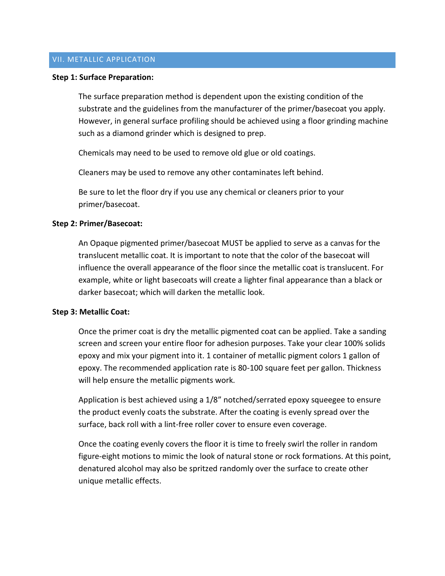### VII. METALLIC APPLICATION

#### **Step 1: Surface Preparation:**

The surface preparation method is dependent upon the existing condition of the substrate and the guidelines from the manufacturer of the primer/basecoat you apply. However, in general surface profiling should be achieved using a floor grinding machine such as a diamond grinder which is designed to prep.

Chemicals may need to be used to remove old glue or old coatings.

Cleaners may be used to remove any other contaminates left behind.

Be sure to let the floor dry if you use any chemical or cleaners prior to your primer/basecoat.

### **Step 2: Primer/Basecoat:**

An Opaque pigmented primer/basecoat MUST be applied to serve as a canvas for the translucent metallic coat. It is important to note that the color of the basecoat will influence the overall appearance of the floor since the metallic coat is translucent. For example, white or light basecoats will create a lighter final appearance than a black or darker basecoat; which will darken the metallic look.

#### **Step 3: Metallic Coat:**

Once the primer coat is dry the metallic pigmented coat can be applied. Take a sanding screen and screen your entire floor for adhesion purposes. Take your clear 100% solids epoxy and mix your pigment into it. 1 container of metallic pigment colors 1 gallon of epoxy. The recommended application rate is 80-100 square feet per gallon. Thickness will help ensure the metallic pigments work.

Application is best achieved using a 1/8" notched/serrated epoxy squeegee to ensure the product evenly coats the substrate. After the coating is evenly spread over the surface, back roll with a lint-free roller cover to ensure even coverage.

Once the coating evenly covers the floor it is time to freely swirl the roller in random figure-eight motions to mimic the look of natural stone or rock formations. At this point, denatured alcohol may also be spritzed randomly over the surface to create other unique metallic effects.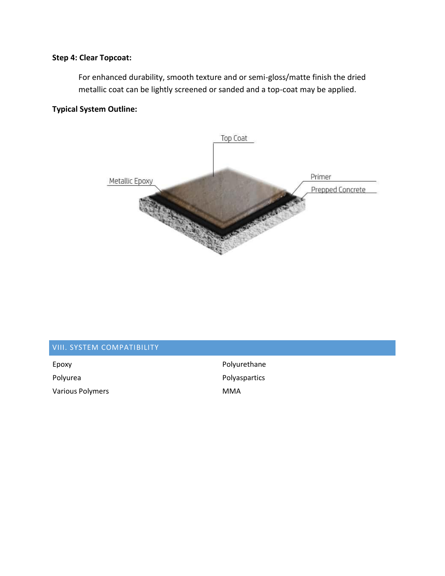## **Step 4: Clear Topcoat:**

For enhanced durability, smooth texture and or semi-gloss/matte finish the dried metallic coat can be lightly screened or sanded and a top-coat may be applied.

## **Typical System Outline:**



### VIII. SYSTEM COMPATIBILITY

Epoxy **Polyurethane** Polyurea **Polyument Community** Polyaspartics Various Polymers **MMA**